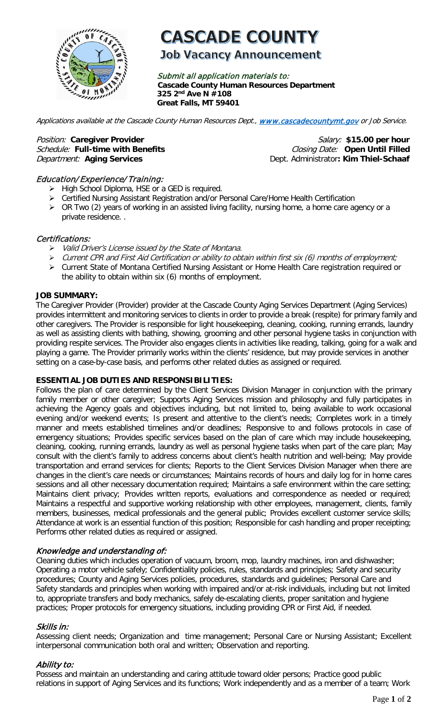

# **CASCADE COUNTY**

## **Job Vacancy Announcement**

Submit all application materials to: **Cascade County Human Resources Department 325 2nd Ave N #108 Great Falls, MT 59401** 

Applications available at the Cascade County Human Resources Dept., [www.cascadecountymt.gov](http://www.cascadecountymt.gov/) or Job Service.

Position: Caregiver Provider **Salary:** \$15.00 per hour **Salary:** \$15.00 per hour Schedule: Full-time with Benefits **Closing Date:** Open Until Filled Department: Aging Services **Department:** Aging Services **Department:** Dept. Administrator: Kim Thiel-Schaaf

#### Education/ Experience/ Training:

- $\triangleright$  High School Diploma, HSE or a GED is required.
- Certified Nursing Assistant Registration and/or Personal Care/Home Health Certification
- ▶ OR Two (2) years of working in an assisted living facility, nursing home, a home care agency or a private residence. .

#### Certifications:

- Valid Driver's License issued by the State of Montana.
- $\triangleright$  Current CPR and First Aid Certification or ability to obtain within first six (6) months of employment;
- Current State of Montana Certified Nursing Assistant or Home Health Care registration required or the ability to obtain within six (6) months of employment.

#### **JOB SUMMARY:**

The Caregiver Provider (Provider) provider at the Cascade County Aging Services Department (Aging Services) provides intermittent and monitoring services to clients in order to provide a break (respite) for primary family and other caregivers. The Provider is responsible for light housekeeping, cleaning, cooking, running errands, laundry as well as assisting clients with bathing, showing, grooming and other personal hygiene tasks in conjunction with providing respite services. The Provider also engages clients in activities like reading, talking, going for a walk and playing a game. The Provider primarily works within the clients' residence, but may provide services in another setting on a case-by-case basis, and performs other related duties as assigned or required.

#### **ESSENTIAL JOB DUTIES AND RESPONSIBILITIES:**

Follows the plan of care determined by the Client Services Division Manager in conjunction with the primary family member or other caregiver; Supports Aging Services mission and philosophy and fully participates in achieving the Agency goals and objectives including, but not limited to, being available to work occasional evening and/or weekend events; Is present and attentive to the client's needs; Completes work in a timely manner and meets established timelines and/or deadlines; Responsive to and follows protocols in case of emergency situations; Provides specific services based on the plan of care which may include housekeeping, cleaning, cooking, running errands, laundry as well as personal hygiene tasks when part of the care plan; May consult with the client's family to address concerns about client's health nutrition and well-being; May provide transportation and errand services for clients; Reports to the Client Services Division Manager when there are changes in the client's care needs or circumstances; Maintains records of hours and daily log for in home cares sessions and all other necessary documentation required; Maintains a safe environment within the care setting; Maintains client privacy; Provides written reports, evaluations and correspondence as needed or required; Maintains a respectful and supportive working relationship with other employees, management, clients, family members, businesses, medical professionals and the general public; Provides excellent customer service skills; Attendance at work is an essential function of this position; Responsible for cash handling and proper receipting; Performs other related duties as required or assigned.

#### Knowledge and understanding of:

Cleaning duties which includes operation of vacuum, broom, mop, laundry machines, iron and dishwasher; Operating a motor vehicle safely; Confidentiality policies, rules, standards and principles; Safety and security procedures; County and Aging Services policies, procedures, standards and guidelines; Personal Care and Safety standards and principles when working with impaired and/or at-risk individuals, including but not limited to, appropriate transfers and body mechanics, safely de-escalating clients, proper sanitation and hygiene practices; Proper protocols for emergency situations, including providing CPR or First Aid, if needed.

#### Skills in:

Assessing client needs; Organization and time management; Personal Care or Nursing Assistant; Excellent interpersonal communication both oral and written; Observation and reporting.

#### Ability to:

Possess and maintain an understanding and caring attitude toward older persons; Practice good public relations in support of Aging Services and its functions; Work independently and as a member of a team; Work